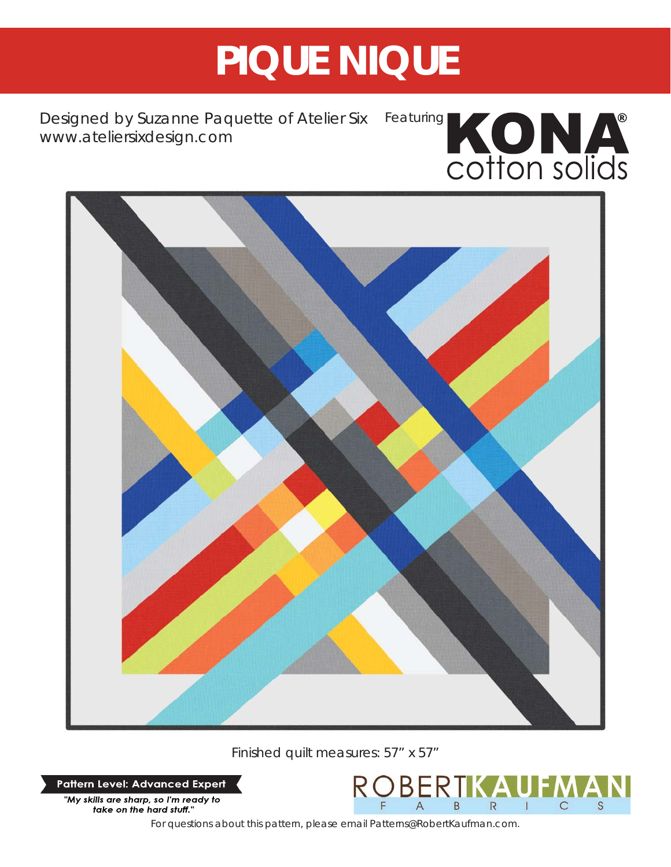# **PIQUE NIQUE**

Designed by Suzanne Paquette of Atelier Six *www.ateliersixdesign.com*





Finished quilt measures: 57" x 57"

**Pattern Level: Advanced Expert** 



*For questions about this pattern, please email Patterns@RobertKaufman.com.*

BEF

B

R

 $\overline{C}$ 

S

 $\mathsf{R}$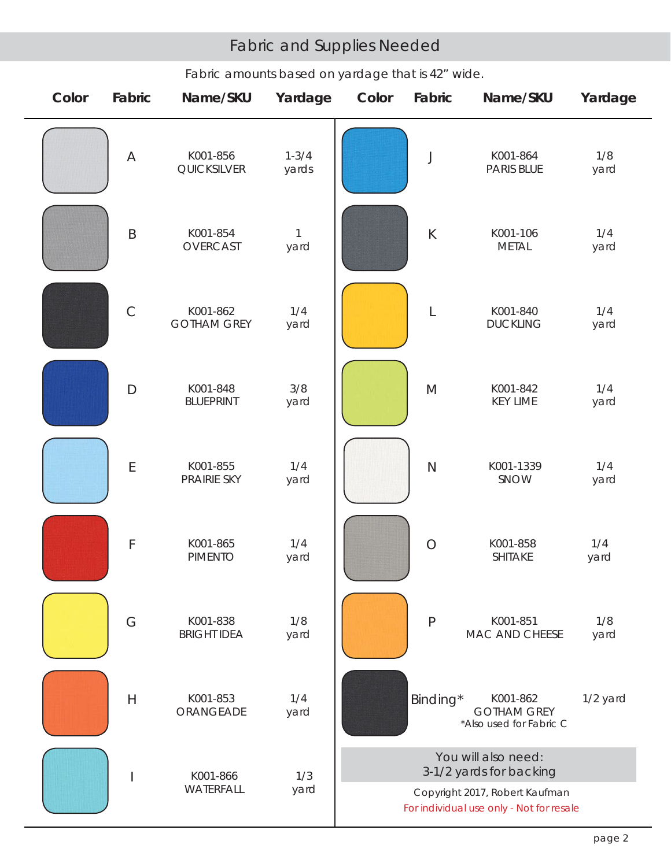## Fabric and Supplies Needed

| Color | Fabric         | Name/SKU                       | Yardage              | Color                                                                      | Fabric                                                                                                     | Name/SKU                                                  | Yardage     |  |
|-------|----------------|--------------------------------|----------------------|----------------------------------------------------------------------------|------------------------------------------------------------------------------------------------------------|-----------------------------------------------------------|-------------|--|
|       | $\overline{A}$ | K001-856<br>QUICKSILVER        | $1 - 3/4$<br>yards   |                                                                            | J                                                                                                          | K001-864<br>PARIS BLUE                                    | 1/8<br>yard |  |
|       | $\sf B$        | K001-854<br>OVERCAST           | $\mathbf{1}$<br>yard |                                                                            | $\sf K$                                                                                                    | K001-106<br><b>METAL</b>                                  | 1/4<br>yard |  |
|       | $\mathsf C$    | K001-862<br><b>GOTHAM GREY</b> | 1/4<br>yard          |                                                                            | L                                                                                                          | K001-840<br><b>DUCKLING</b>                               | 1/4<br>yard |  |
|       | $\Box$         | K001-848<br><b>BLUEPRINT</b>   | 3/8<br>yard          |                                                                            | $\mathsf{M}% _{T}=\mathsf{M}_{T}\!\left( a,b\right) ,\ \mathsf{M}_{T}=\mathsf{M}_{T}\!\left( a,b\right) ,$ | K001-842<br><b>KEY LIME</b>                               | 1/4<br>yard |  |
|       | $\mathsf E$    | K001-855<br>PRAIRIE SKY        | 1/4<br>yard          |                                                                            | $\mathsf{N}$                                                                                               | K001-1339<br>SNOW                                         | 1/4<br>yard |  |
|       | $\mathsf F$    | K001-865<br><b>PIMENTO</b>     | 1/4<br>yard          |                                                                            | $\bigcirc$                                                                                                 | K001-858<br>SHITAKE                                       | 1/4<br>yard |  |
|       | G              | K001-838<br><b>BRIGHT IDEA</b> | 1/8<br>yard          |                                                                            | $\mathsf{P}$                                                                                               | K001-851<br>MAC AND CHEESE                                | 1/8<br>yard |  |
|       | H              | K001-853<br>ORANGEADE          | 1/4<br>yard          |                                                                            | Binding*                                                                                                   | K001-862<br><b>GOTHAM GREY</b><br>*Also used for Fabric C | 1/2 yard    |  |
|       |                | K001-866<br>WATERFALL          | 1/3<br>yard          | You will also need:<br>3-1/2 yards for backing                             |                                                                                                            |                                                           |             |  |
|       |                |                                |                      | Copyright 2017, Robert Kaufman<br>For individual use only - Not for resale |                                                                                                            |                                                           |             |  |

## *Fabric amounts based on yardage that is 42" wide.*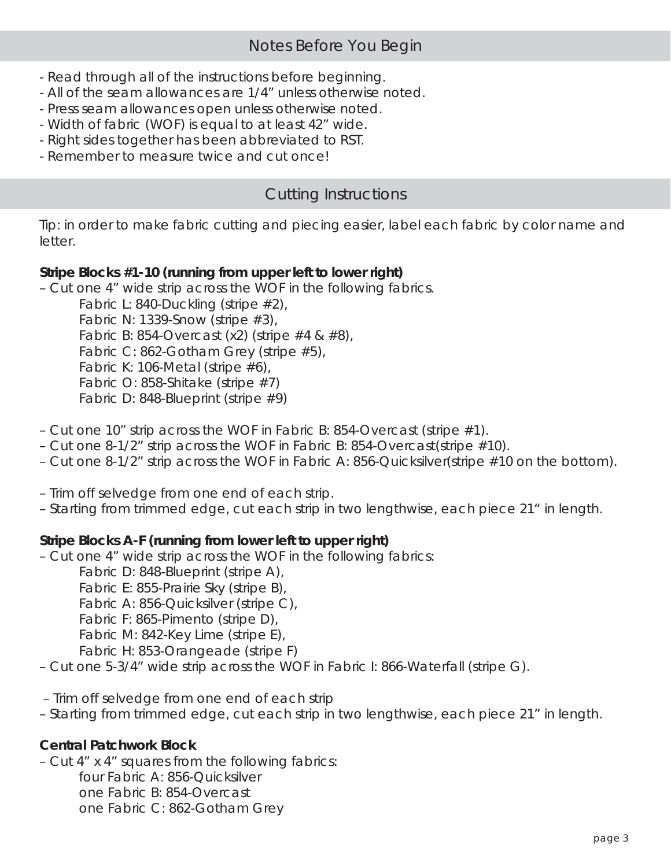- Read through all of the instructions before beginning.
- All of the seam allowances are 1/4" unless otherwise noted.
- Press seam allowances open unless otherwise noted.
- Width of fabric (WOF) is equal to at least 42" wide.
- Right sides together has been abbreviated to RST.
- Remember to measure twice and cut once!

## Cutting Instructions

*Tip: in order to make fabric cutting and piecing easier, label each fabric by color name and letter.*

### **Stripe Blocks #1-10 (running from upper left to lower right)**

– Cut one 4" wide strip across the WOF in the following fabrics.

Fabric L: 840-Duckling (stripe #2), Fabric N: 1339-Snow (stripe  $#3$ ), Fabric B: 854-Overcast (x2) (stripe #4 & #8), Fabric C: 862-Gotham Grey (stripe #5), Fabric K: 106-Metal (stripe #6), Fabric O: 858-Shitake (stripe #7) Fabric D: 848-Blueprint (stripe #9)

- Cut one 10" strip across the WOF in Fabric B: 854-Overcast (stripe  $\#1$ ).
- Cut one 8-1/2" strip across the WOF in Fabric B: 854-Overcast(stripe #10).
- Cut one 8-1/2" strip across the WOF in Fabric A: 856-Quicksilver(stripe #10 on the bottom).
- Trim off selvedge from one end of each strip.
- Starting from trimmed edge, cut each strip in two lengthwise, each piece 21" in length.

### **Stripe Blocks A-F (running from lower left to upper right)**

- Cut one 4" wide strip across the WOF in the following fabrics:
	- Fabric D: 848-Blueprint (stripe A),
	- Fabric E: 855-Prairie Sky (stripe B),
	- Fabric A: 856-Quicksilver (stripe C),
	- Fabric F: 865-Pimento (stripe D),
	- Fabric M: 842-Key Lime (stripe E),

Fabric H: 853-Orangeade (stripe F)

- Cut one 5-3/4" wide strip across the WOF in Fabric I: 866-Waterfall (stripe G).
- Trim off selvedge from one end of each strip
- Starting from trimmed edge, cut each strip in two lengthwise, each piece 21" in length.

### **Central Patchwork Block**

– Cut 4" x 4" squares from the following fabrics:

 four Fabric A: 856-Quicksilver one Fabric B: 854-Overcast one Fabric C: 862-Gotham Grey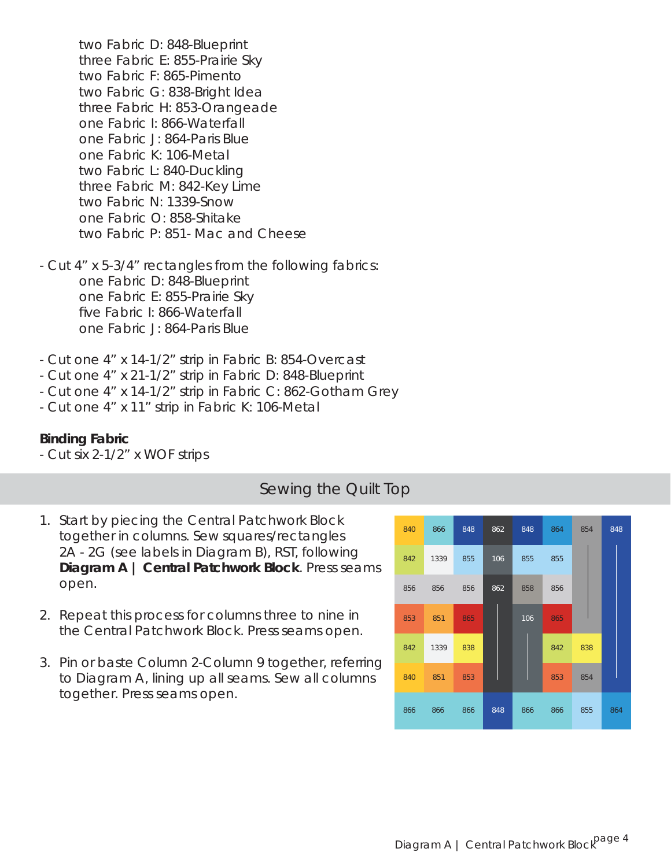two Fabric D: 848-Blueprint three Fabric E: 855-Prairie Sky two Fabric F: 865-Pimento two Fabric G: 838-Bright Idea three Fabric H: 853-Orangeade one Fabric I: 866-Waterfall one Fabric J: 864-Paris Blue one Fabric K: 106-Metal two Fabric L: 840-Duckling three Fabric M: 842-Key Lime two Fabric N: 1339-Snow one Fabric O: 858-Shitake two Fabric P: 851- Mac and Cheese

- Cut 4" x 5-3/4" rectangles from the following fabrics: one Fabric D: 848-Blueprint one Fabric E: 855-Prairie Sky five Fabric I: 866-Waterfall one Fabric J: 864-Paris Blue

- Cut one 4" x 14-1/2" strip in Fabric B: 854-Overcast
- Cut one 4" x 21-1/2" strip in Fabric D: 848-Blueprint
- Cut one 4" x 14-1/2" strip in Fabric C: 862-Gotham Grey
- Cut one 4" x 11" strip in Fabric K: 106-Metal

#### **Binding Fabric**

- Cut six 2-1/2" x WOF strips

#### Sewing the Quilt Top

- 1. Start by piecing the Central Patchwork Block together in columns. Sew squares/rectangles 2A - 2G (see labels in Diagram B), RST, following **Diagram A | Central Patchwork Block**. Press seams open.
- 2. Repeat this process for columns three to nine in the Central Patchwork Block. Press seams open.
- 3. Pin or baste Column 2-Column 9 together, referring to Diagram A, lining up all seams. Sew all columns together. Press seams open.

| 840 | 866  | 848 | 862 | 848 | 864 | 854 | 848 |
|-----|------|-----|-----|-----|-----|-----|-----|
| 842 | 1339 | 855 | 106 | 855 | 855 |     |     |
| 856 | 856  | 856 | 862 | 858 | 856 |     |     |
| 853 | 851  | 865 |     | 106 | 865 |     |     |
| 842 | 1339 | 838 |     |     | 842 | 838 |     |
| 840 | 851  | 853 |     |     | 853 | 854 |     |
| 866 | 866  | 866 | 848 | 866 | 866 | 855 | 864 |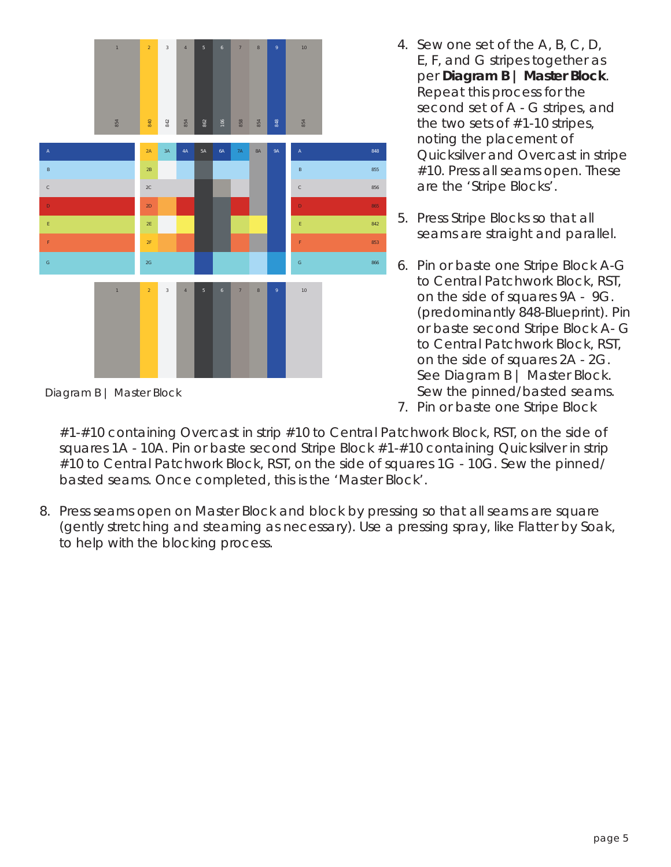

*Diagram B | Master Block*

- 4. Sew one set of the A, B, C, D, E, F, and G stripes together as per **Diagram B | Master Block**. Repeat this process for the second set of A - G stripes, and the two sets of #1-10 stripes, noting the placement of Quicksilver and Overcast in stripe #10. Press all seams open. These are the 'Stripe Blocks'.
- 5. Press Stripe Blocks so that all seams are straight and parallel.
- 6. Pin or baste one Stripe Block A-G to Central Patchwork Block, RST, on the side of squares 9A - 9G. (predominantly 848-Blueprint). Pin or baste second Stripe Block A- G to Central Patchwork Block, RST, on the side of squares 2A - 2G. See Diagram B | Master Block. Sew the pinned/basted seams.
- 7. Pin or baste one Stripe Block

#1-#10 containing Overcast in strip #10 to Central Patchwork Block, RST, on the side of squares 1A - 10A. Pin or baste second Stripe Block #1-#10 containing Quicksilver in strip #10 to Central Patchwork Block, RST, on the side of squares 1G - 10G. Sew the pinned/ basted seams. Once completed, this is the 'Master Block'.

8. Press seams open on Master Block and block by pressing so that all seams are square (gently stretching and steaming as necessary). Use a pressing spray, like Flatter by Soak, to help with the blocking process.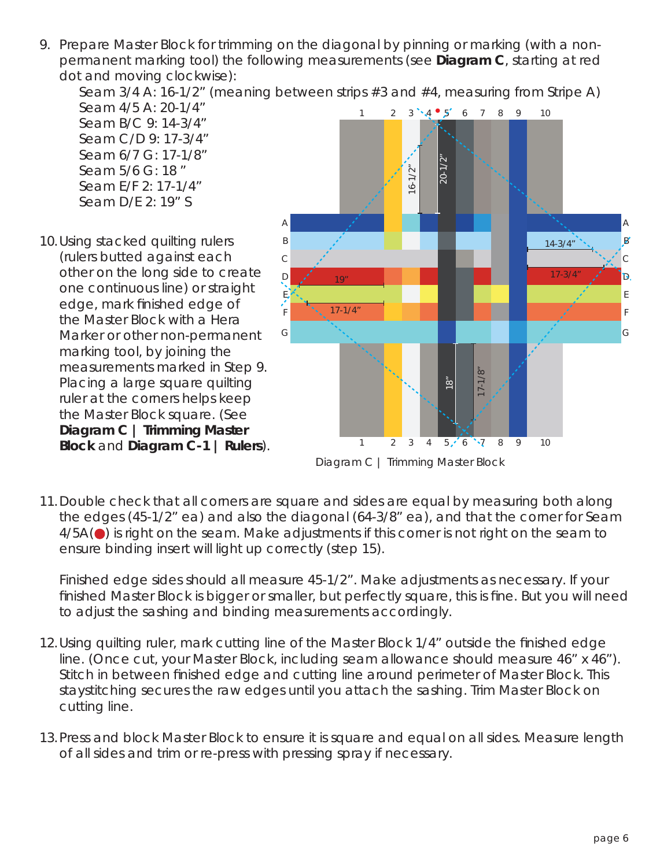9. Prepare Master Block for trimming on the diagonal by pinning or marking (with a nonpermanent marking tool) the following measurements (see **Diagram C**, starting at red dot and moving clockwise):

Seam 3/4 A: 16-1/2" (meaning between strips #3 and #4, measuring from Stripe A)

 Seam 4/5 A: 20-1/4" Seam B/C 9: 14-3/4" Seam C/D 9: 17-3/4" Seam 6/7 G: 17-1/8" Seam 5/6 G: 18 " Seam E/F 2: 17-1/4" Seam D/E 2: 19" S

10. Using stacked quilting rulers (rulers butted against each other on the long side to create one continuous line) or straight edge, mark finished edge of the Master Block with a Hera Marker or other non-permanent marking tool, by joining the measurements marked in Step 9. Placing a large square quilting ruler at the corners helps keep the Master Block square. (See **Diagram C | Trimming Master Block** and **Diagram C-1 | Rulers**).



*Diagram C | Trimming Master Block*

11. Double check that all corners are square and sides are equal by measuring both along the edges (45-1/2" ea) and also the diagonal (64-3/8" ea), and that the corner for Seam  $4/5A(\bullet)$  is right on the seam. Make adjustments if this corner is not right on the seam to ensure binding insert will light up correctly (step 15).

Finished edge sides should all measure 45-1/2". Make adjustments as necessary. If your finished Master Block is bigger or smaller, but perfectly square, this is fine. But you will need to adjust the sashing and binding measurements accordingly.

- 12. Using quilting ruler, mark cutting line of the Master Block 1/4" outside the finished edge line. (Once cut, your Master Block, including seam allowance should measure 46" x 46"). Stitch in between finished edge and cutting line around perimeter of Master Block. This staystitching secures the raw edges until you attach the sashing. Trim Master Block on cutting line.
- 13. Press and block Master Block to ensure it is square and equal on all sides. Measure length of all sides and trim or re-press with pressing spray if necessary.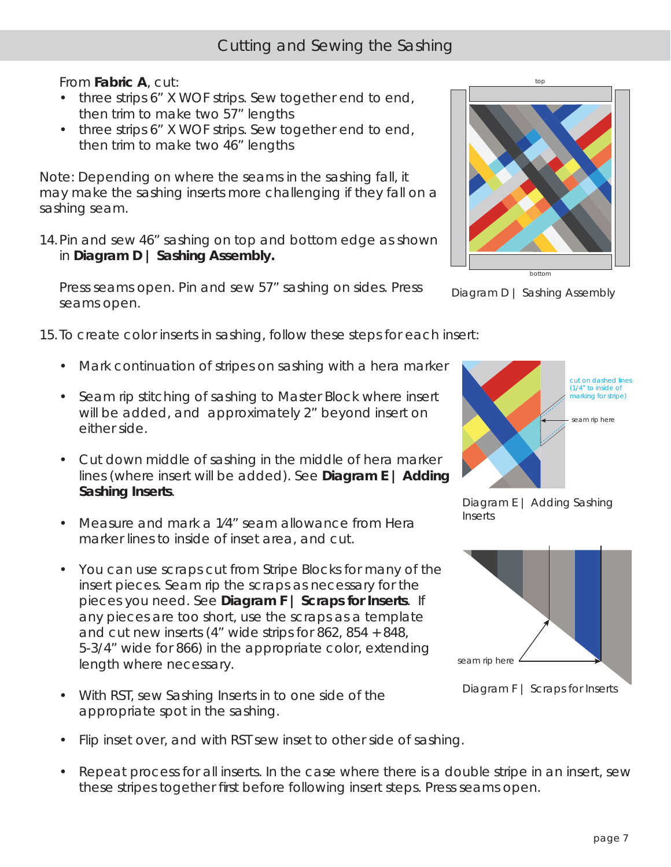### From **Fabric A**, cut:

- three strips 6" X WOF strips. Sew together end to end, then trim to make two 57" lengths
- three strips 6" X WOF strips. Sew together end to end, then trim to make two 46" lengths

*Note: Depending on where the seams in the sashing fall, it may make the sashing inserts more challenging if they fall on a sashing seam.*

14. Pin and sew 46" sashing on top and bottom edge as shown in **Diagram D | Sashing Assembly.** 

Press seams open. Pin and sew 57" sashing on sides. Press seams open.

15. To create color inserts in sashing, follow these steps for each insert:

- Mark continuation of stripes on sashing with a hera marker
- Seam rip stitching of sashing to Master Block where insert will be added, and approximately 2" beyond insert on either side.
- Cut down middle of sashing in the middle of hera marker lines (where insert will be added). See **Diagram E | Adding Sashing Inserts**.
- Measure and mark a 1⁄4" seam allowance from Hera marker lines to inside of inset area, and cut.
- You can use scraps cut from Stripe Blocks for many of the insert pieces. Seam rip the scraps as necessary for the pieces you need. See **Diagram F | Scraps for Inserts**. If any pieces are too short, use the scraps as a template and cut new inserts (4" wide strips for 862, 854 + 848, 5-3/4" wide for 866) in the appropriate color, extending length where necessary.
- With RST, sew Sashing Inserts in to one side of the appropriate spot in the sashing.
- Flip inset over, and with RST sew inset to other side of sashing.
- Repeat process for all inserts. In the case where there is a double stripe in an insert, sew these stripes together first before following insert steps. Press seams open.



*Diagram D | Sashing Assembly*



*Diagram E | Adding Sashing Inserts*